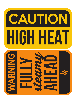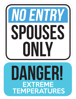